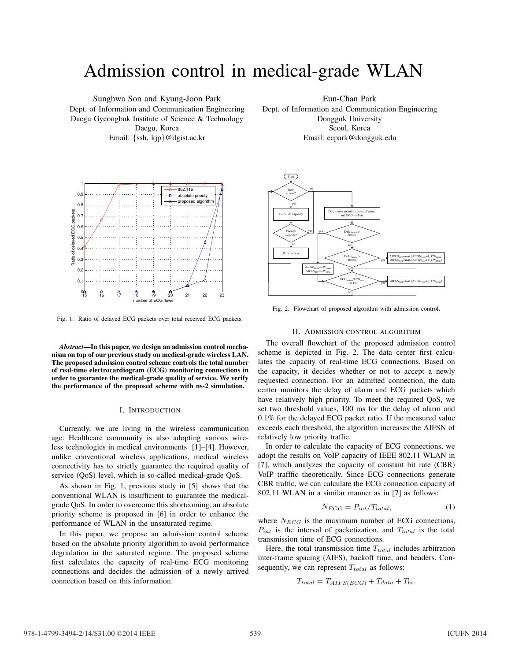# Admission control in medical-grade WLAN

Sunghwa Son and Kyung-Joon Park Dept. of Information and Communication Engineering Daegu Gyeongbuk Institute of Science & Technology Daegu, Korea Email: {ssh, kjp}@dgist.ac.kr

1 802.11e 0.9 absolute priority proposed algorithm 0.8 Ratio of delayed ECG packets packets  $0.7$ Ratio of delayed ECG  $0.\overline{6}$  $0.5$  $0.4$  $0.3$  $0.2$  $\Omega$ . <sup>15</sup> <sup>16</sup> <sup>17</sup> <sup>18</sup> <sup>19</sup> <sup>20</sup> <sup>21</sup> <sup>22</sup> <sup>23</sup> <sup>0</sup> number of ECG flows

Fig. 1. Ratio of delayed ECG packets over total received ECG packets.

*Abstract***—In this paper, we design an admission control mechanism on top of our previous study on medical-grade wireless LAN. The proposed admission control scheme controls the total number of real-time electrocardiogram (ECG) monitoring connections in order to guarantee the medical-grade quality of service. We verify the performance of the proposed scheme with ns-2 simulation.**

## I. INTRODUCTION

Currently, we are living in the wireless communication age. Healthcare community is also adopting various wireless technologies in medical environments [1]–[4]. However, unlike conventional wireless applications, medical wireless connectivity has to strictly guarantee the required quality of service (QoS) level, which is so-called medical-grade QoS.

As shown in Fig. 1, previous study in [5] shows that the conventional WLAN is insufficient to guarantee the medicalgrade QoS. In order to overcome this shortcoming, an absolute priority scheme is proposed in [6] in order to enhance the performance of WLAN in the unsaturated regime.

In this paper, we propose an admission control scheme based on the absolute priority algorithm to avoid performance degradation in the saturated regime. The proposed scheme first calculates the capacity of real-time ECG monitoring connections and decides the admission of a newly arrived connection based on this information.

Eun-Chan Park Dept. of Information and Communication Engineering Dongguk University Seoul, Korea Email: ecpark@dongguk.edu



Fig. 2. Flowchart of proposed algorithm with admission control.

## II. ADMISSION CONTROL ALGORITHM

The overall flowchart of the proposed admission control scheme is depicted in Fig. 2. The data center first calculates the capacity of real-time ECG connections. Based on the capacity, it decides whether or not to accept a newly requested connection. For an admitted connection, the data center monitors the delay of alarm and ECG packets which have relatively high priority. To meet the required QoS, we set two threshold values, 100 ms for the delay of alarm and 0.1% for the delayed ECG packet ratio. If the measured value exceeds each threshold, the algorithm increases the AIFSN of relatively low priority traffic.

In order to calculate the capacity of ECG connections, we adopt the results on VoIP capacity of IEEE 802.11 WLAN in [7], which analyzes the capacity of constant bit rate (CBR) VoIP trafffic theoretically. Since ECG connections generate CBR traffic, we can calculate the ECG connection capacity of 802.11 WLAN in a similar manner as in [7] as follows:

$$
N_{ECG} = P_{int}/T_{total},\tag{1}
$$

where  $N_{ECG}$  is the maximum number of ECG connections,  $P_{int}$  is the interval of packetization, and  $T_{total}$  is the total transmission time of ECG connections.

Here, the total transmission time  $T_{total}$  includes arbitration inter-frame spacing (AIFS), backoff time, and headers. Consequently, we can represent  $T_{total}$  as follows:

$$
T_{total} = T_{AIFS(ECG)} + T_{data} + T_{bo}.
$$